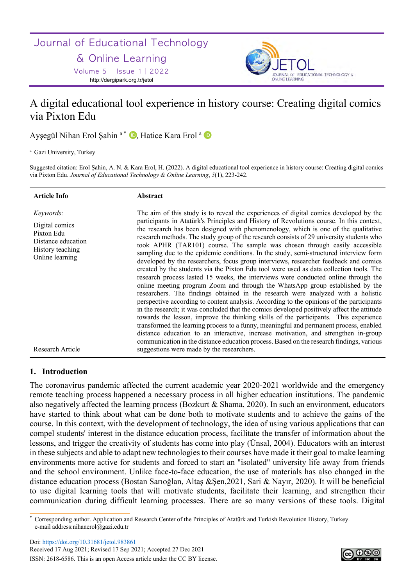Journal of Educational Technology

& Online Learning

Volume 5 │Issue 1│2022 http://dergipark.org.tr/jetol



# A digital educational tool experience in history course: Creating digital comics via Pixton Edu

Ayşegül Nihan Erol Şahin <sup>a \*</sup> D, Hatice Kara Erol <sup>a</sup> D

<sup>a</sup> Gazi University, Turkey

Suggested citation: Erol Şahin, A. N. & Kara Erol, H. (2022). A digital educational tool experience in history course: Creating digital comics via Pixton Edu. *Journal of Educational Technology & Online Learning*, *5*(1), 223-242.

| <b>Article Info</b>                                                                                    | <b>Abstract</b>                                                                                                                                                                                                                                                                                                                                                                                                                                                                                                                                                                                                                                                                                                                                                                                                                                                                                                                                                                                                                                                                                                                                                                                                                                                                                                                                                                                                                                                                                                                                        |
|--------------------------------------------------------------------------------------------------------|--------------------------------------------------------------------------------------------------------------------------------------------------------------------------------------------------------------------------------------------------------------------------------------------------------------------------------------------------------------------------------------------------------------------------------------------------------------------------------------------------------------------------------------------------------------------------------------------------------------------------------------------------------------------------------------------------------------------------------------------------------------------------------------------------------------------------------------------------------------------------------------------------------------------------------------------------------------------------------------------------------------------------------------------------------------------------------------------------------------------------------------------------------------------------------------------------------------------------------------------------------------------------------------------------------------------------------------------------------------------------------------------------------------------------------------------------------------------------------------------------------------------------------------------------------|
| Keywords:<br>Digital comics<br>Pixton Edu<br>Distance education<br>History teaching<br>Online learning | The aim of this study is to reveal the experiences of digital comics developed by the<br>participants in Atatürk's Principles and History of Revolutions course. In this context,<br>the research has been designed with phenomenology, which is one of the qualitative<br>research methods. The study group of the research consists of 29 university students who<br>took APHR (TAR101) course. The sample was chosen through easily accessible<br>sampling due to the epidemic conditions. In the study, semi-structured interview form<br>developed by the researchers, focus group interviews, researcher feedback and comics<br>created by the students via the Pixton Edu tool were used as data collection tools. The<br>research process lasted 15 weeks, the interviews were conducted online through the<br>online meeting program Zoom and through the WhatsApp group established by the<br>researchers. The findings obtained in the research were analyzed with a holistic<br>perspective according to content analysis. According to the opinions of the participants<br>in the research; it was concluded that the comics developed positively affect the attitude<br>towards the lesson, improve the thinking skills of the participants. This experience<br>transformed the learning process to a funny, meaningful and permanent process, enabled<br>distance education to an interactive, increase motivation, and strengthen in-group<br>communication in the distance education process. Based on the research findings, various |
| Research Article                                                                                       | suggestions were made by the researchers.                                                                                                                                                                                                                                                                                                                                                                                                                                                                                                                                                                                                                                                                                                                                                                                                                                                                                                                                                                                                                                                                                                                                                                                                                                                                                                                                                                                                                                                                                                              |

# **1. Introduction**

The coronavirus pandemic affected the current academic year 2020-2021 worldwide and the emergency remote teaching process happened a necessary process in all higher education institutions. The pandemic also negatively affected the learning process (Bozkurt & Shama, 2020). In such an environment, educators have started to think about what can be done both to motivate students and to achieve the gains of the course. In this context, with the development of technology, the idea of using various applications that can compel students' interest in the distance education process, facilitate the transfer of information about the lessons, and trigger the creativity of students has come into play (Ünsal, 2004). Educators with an interest in these subjects and able to adapt new technologies to their courses have made it their goal to make learning environments more active for students and forced to start an "isolated" university life away from friends and the school environment. Unlike face-to-face education, the use of materials has also changed in the distance education process (Bostan Sarıoğlan, Altaş &Şen,2021, Sari & Nayır, 2020). It will be beneficial to use digital learning tools that will motivate students, facilitate their learning, and strengthen their communication during difficult learning processes. There are so many versions of these tools. Digital



ဝဓၜ

<sup>\*</sup> Corresponding author. Application and Research Center of the Principles of Atatürk and Turkish Revolution History, Turkey. e-mail address:nihanerol@gazi.edu.tr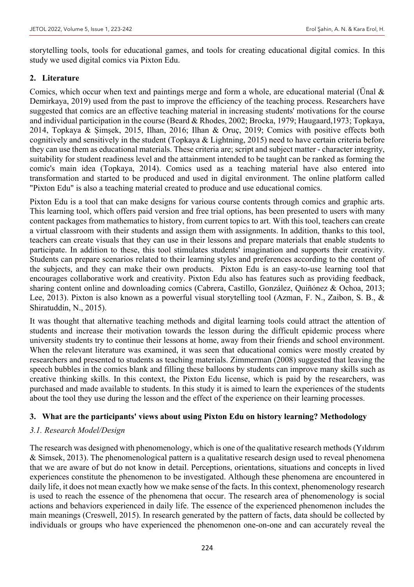storytelling tools, tools for educational games, and tools for creating educational digital comics. In this study we used digital comics via Pixton Edu.

### **2. Literature**

Comics, which occur when text and paintings merge and form a whole, are educational material (Ünal & Demirkaya, 2019) used from the past to improve the efficiency of the teaching process. Researchers have suggested that comics are an effective teaching material in increasing students' motivations for the course and individual participation in the course (Beard & Rhodes, 2002; Brocka, 1979; Haugaard,1973; Topkaya, 2014, Topkaya & Şimşek, 2015, Ilhan, 2016; Ilhan & Oruç, 2019; Comics with positive effects both cognitively and sensitively in the student (Topkaya & Lightning, 2015) need to have certain criteria before they can use them as educational materials. These criteria are; script and subject matter - character integrity, suitability for student readiness level and the attainment intended to be taught can be ranked as forming the comic's main idea (Topkaya, 2014). Comics used as a teaching material have also entered into transformation and started to be produced and used in digital environment. The online platform called "Pixton Edu" is also a teaching material created to produce and use educational comics.

Pixton Edu is a tool that can make designs for various course contents through comics and graphic arts. This learning tool, which offers paid version and free trial options, has been presented to users with many content packages from mathematics to history, from current topics to art. With this tool, teachers can create a virtual classroom with their students and assign them with assignments. In addition, thanks to this tool, teachers can create visuals that they can use in their lessons and prepare materials that enable students to participate. In addition to these, this tool stimulates students' imagination and supports their creativity. Students can prepare scenarios related to their learning styles and preferences according to the content of the subjects, and they can make their own products. Pixton Edu is an easy-to-use learning tool that encourages collaborative work and creativity. Pixton Edu also has features such as providing feedback, sharing content online and downloading comics (Cabrera, Castillo, González, Quiñónez & Ochoa, 2013; Lee, 2013). Pixton is also known as a powerful visual storytelling tool (Azman, F. N., Zaibon, S. B., & Shiratuddin, N., 2015).

It was thought that alternative teaching methods and digital learning tools could attract the attention of students and increase their motivation towards the lesson during the difficult epidemic process where university students try to continue their lessons at home, away from their friends and school environment. When the relevant literature was examined, it was seen that educational comics were mostly created by researchers and presented to students as teaching materials. Zimmerman (2008) suggested that leaving the speech bubbles in the comics blank and filling these balloons by students can improve many skills such as creative thinking skills. In this context, the Pixton Edu license, which is paid by the researchers, was purchased and made available to students. In this study it is aimed to learn the experiences of the students about the tool they use during the lesson and the effect of the experience on their learning processes.

# **3. What are the participants' views about using Pixton Edu on history learning? Methodology**

### *3.1. Research Model/Design*

The research was designed with phenomenology, which is one of the qualitative research methods (Yıldırım & Simsek, 2013). The phenomenological pattern is a qualitative research design used to reveal phenomena that we are aware of but do not know in detail. Perceptions, orientations, situations and concepts in lived experiences constitute the phenomenon to be investigated. Although these phenomena are encountered in daily life, it does not mean exactly how we make sense of the facts. In this context, phenomenology research is used to reach the essence of the phenomena that occur. The research area of phenomenology is social actions and behaviors experienced in daily life. The essence of the experienced phenomenon includes the main meanings (Creswell, 2015). In research generated by the pattern of facts, data should be collected by individuals or groups who have experienced the phenomenon one-on-one and can accurately reveal the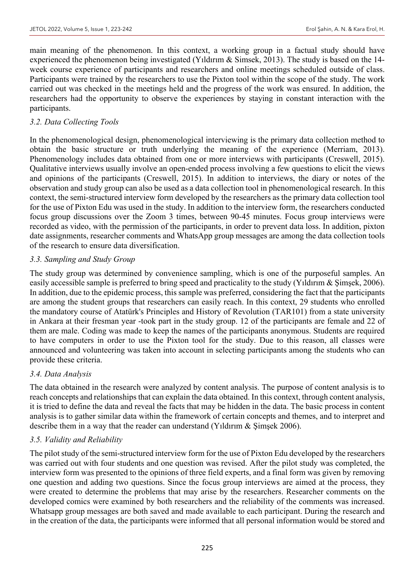main meaning of the phenomenon. In this context, a working group in a factual study should have experienced the phenomenon being investigated (Yıldırım & Simsek, 2013). The study is based on the 14 week course experience of participants and researchers and online meetings scheduled outside of class. Participants were trained by the researchers to use the Pixton tool within the scope of the study. The work carried out was checked in the meetings held and the progress of the work was ensured. In addition, the researchers had the opportunity to observe the experiences by staying in constant interaction with the participants.

# *3.2. Data Collecting Tools*

In the phenomenological design, phenomenological interviewing is the primary data collection method to obtain the basic structure or truth underlying the meaning of the experience (Merriam, 2013). Phenomenology includes data obtained from one or more interviews with participants (Creswell, 2015). Qualitative interviews usually involve an open-ended process involving a few questions to elicit the views and opinions of the participants (Creswell, 2015). In addition to interviews, the diary or notes of the observation and study group can also be used as a data collection tool in phenomenological research. In this context, the semi-structured interview form developed by the researchers as the primary data collection tool for the use of Pixton Edu was used in the study. In addition to the interview form, the researchers conducted focus group discussions over the Zoom 3 times, between 90-45 minutes. Focus group interviews were recorded as video, with the permission of the participants, in order to prevent data loss. In addition, pixton date assignments, researcher comments and WhatsApp group messages are among the data collection tools of the research to ensure data diversification.

### *3.3. Sampling and Study Group*

The study group was determined by convenience sampling, which is one of the purposeful samples. An easily accessible sample is preferred to bring speed and practicality to the study (Yıldırım & Şimşek, 2006). In addition, due to the epidemic process, this sample was preferred, considering the fact that the participants are among the student groups that researchers can easily reach. In this context, 29 students who enrolled the mandatory course of Atatürk's Principles and History of Revolution (TAR101) from a state university in Ankara at their fresman year -took part in the study group. 12 of the participants are female and 22 of them are male. Coding was made to keep the names of the participants anonymous. Students are required to have computers in order to use the Pixton tool for the study. Due to this reason, all classes were announced and volunteering was taken into account in selecting participants among the students who can provide these criteria.

### *3.4. Data Analysis*

The data obtained in the research were analyzed by content analysis. The purpose of content analysis is to reach concepts and relationships that can explain the data obtained. In this context, through content analysis, it is tried to define the data and reveal the facts that may be hidden in the data. The basic process in content analysis is to gather similar data within the framework of certain concepts and themes, and to interpret and describe them in a way that the reader can understand (Yıldırım & Şimşek 2006).

# *3.5. Validity and Reliability*

The pilot study of the semi-structured interview form for the use of Pixton Edu developed by the researchers was carried out with four students and one question was revised. After the pilot study was completed, the interview form was presented to the opinions of three field experts, and a final form was given by removing one question and adding two questions. Since the focus group interviews are aimed at the process, they were created to determine the problems that may arise by the researchers. Researcher comments on the developed comics were examined by both researchers and the reliability of the comments was increased. Whatsapp group messages are both saved and made available to each participant. During the research and in the creation of the data, the participants were informed that all personal information would be stored and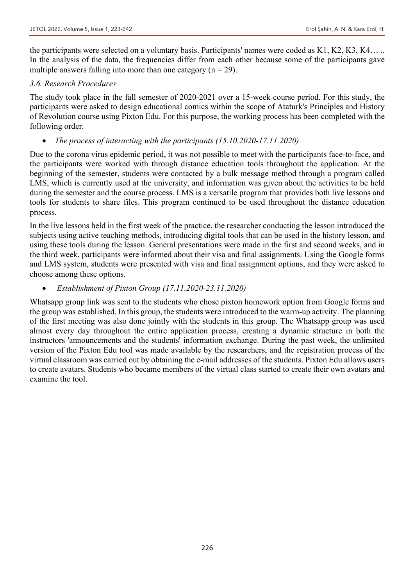the participants were selected on a voluntary basis. Participants' names were coded as K1, K2, K3, K4… .. In the analysis of the data, the frequencies differ from each other because some of the participants gave multiple answers falling into more than one category  $(n = 29)$ .

### *3.6. Research Procedures*

The study took place in the fall semester of 2020-2021 over a 15-week course period. For this study, the participants were asked to design educational comics within the scope of Ataturk's Principles and History of Revolution course using Pixton Edu. For this purpose, the working process has been completed with the following order.

• *The process of interacting with the participants (15.10.2020-17.11.2020)*

Due to the corona virus epidemic period, it was not possible to meet with the participants face-to-face, and the participants were worked with through distance education tools throughout the application. At the beginning of the semester, students were contacted by a bulk message method through a program called LMS, which is currently used at the university, and information was given about the activities to be held during the semester and the course process. LMS is a versatile program that provides both live lessons and tools for students to share files. This program continued to be used throughout the distance education process.

In the live lessons held in the first week of the practice, the researcher conducting the lesson introduced the subjects using active teaching methods, introducing digital tools that can be used in the history lesson, and using these tools during the lesson. General presentations were made in the first and second weeks, and in the third week, participants were informed about their visa and final assignments. Using the Google forms and LMS system, students were presented with visa and final assignment options, and they were asked to choose among these options.

• *Establishment of Pixton Group (17.11.2020-23.11.2020)*

Whatsapp group link was sent to the students who chose pixton homework option from Google forms and the group was established. In this group, the students were introduced to the warm-up activity. The planning of the first meeting was also done jointly with the students in this group. The Whatsapp group was used almost every day throughout the entire application process, creating a dynamic structure in both the instructors 'announcements and the students' information exchange. During the past week, the unlimited version of the Pixton Edu tool was made available by the researchers, and the registration process of the virtual classroom was carried out by obtaining the e-mail addresses of the students. Pixton Edu allows users to create avatars. Students who became members of the virtual class started to create their own avatars and examine the tool.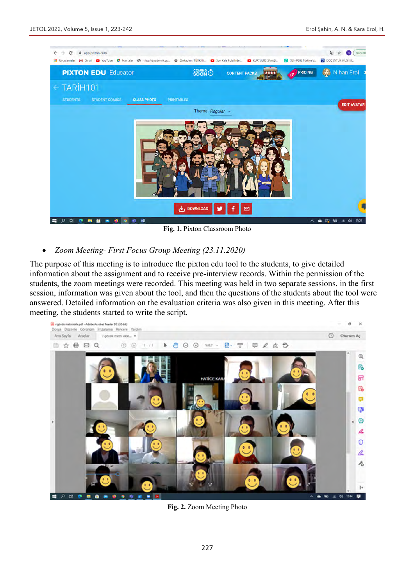

**Fig. 1.** Pixton Classroom Photo

• *Zoom Meeting- First Focus Group Meeting (23.11.2020)*

The purpose of this meeting is to introduce the pixton edu tool to the students, to give detailed information about the assignment and to receive pre-interview records. Within the permission of the students, the zoom meetings were recorded. This meeting was held in two separate sessions, in the first session, information was given about the tool, and then the questions of the students about the tool were answered. Detailed information on the evaluation criteria was also given in this meeting. After this meeting, the students started to write the script.



**Fig. 2.** Zoom Meeting Photo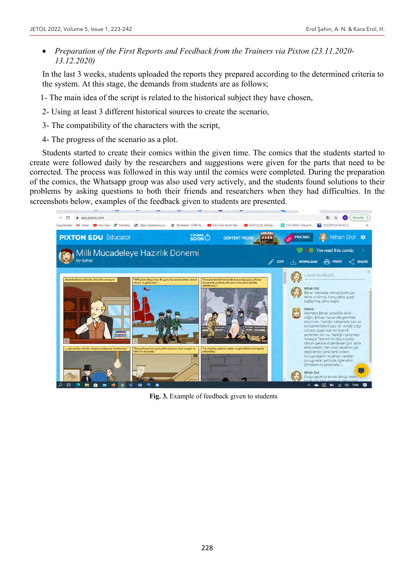• *Preparation of the First Reports and Feedback from the Trainers via Pixton (23.11.2020- 13.12.2020)*

In the last 3 weeks, students uploaded the reports they prepared according to the determined criteria to the system. At this stage, the demands from students are as follows;

- 1- The main idea of the script is related to the historical subject they have chosen,
- 2- Using at least 3 different historical sources to create the scenario,
- 3- The compatibility of the characters with the script,
- 4- The progress of the scenario as a plot.

Students started to create their comics within the given time. The comics that the students started to create were followed daily by the researchers and suggestions were given for the parts that need to be corrected. The process was followed in this way until the comics were completed. During the preparation of the comics, the Whatsapp group was also used very actively, and the students found solutions to their problems by asking questions to both their friends and researchers when they had difficulties. In the screenshots below, examples of the feedback given to students are presented.



**Fig. 3.** Example of feedback given to students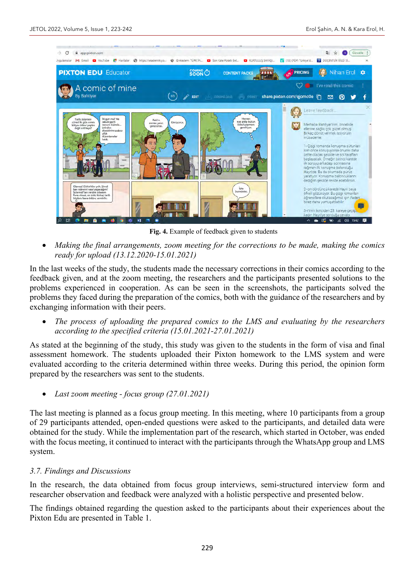

**Fig. 4.** Example of feedback given to students

• *Making the final arrangements, zoom meeting for the corrections to be made, making the comics ready for upload (13.12.2020-15.01.2021)* 

In the last weeks of the study, the students made the necessary corrections in their comics according to the feedback given, and at the zoom meeting, the researchers and the participants presented solutions to the problems experienced in cooperation. As can be seen in the screenshots, the participants solved the problems they faced during the preparation of the comics, both with the guidance of the researchers and by exchanging information with their peers.

• *The process of uploading the prepared comics to the LMS and evaluating by the researchers according to the specified criteria (15.01.2021-27.01.2021)*

As stated at the beginning of the study, this study was given to the students in the form of visa and final assessment homework. The students uploaded their Pixton homework to the LMS system and were evaluated according to the criteria determined within three weeks. During this period, the opinion form prepared by the researchers was sent to the students.

• *Last zoom meeting - focus group (27.01.2021)*

The last meeting is planned as a focus group meeting. In this meeting, where 10 participants from a group of 29 participants attended, open-ended questions were asked to the participants, and detailed data were obtained for the study. While the implementation part of the research, which started in October, was ended with the focus meeting, it continued to interact with the participants through the WhatsApp group and LMS system.

### *3.7. Findings and Discussions*

In the research, the data obtained from focus group interviews, semi-structured interview form and researcher observation and feedback were analyzed with a holistic perspective and presented below.

The findings obtained regarding the question asked to the participants about their experiences about the Pixton Edu are presented in Table 1.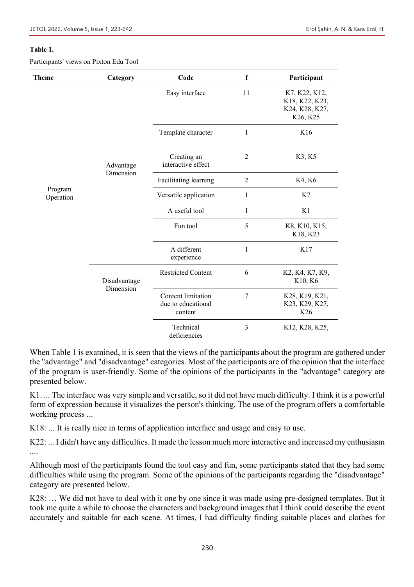#### **Table 1.**

Participants' views on Pixton Edu Tool

| <b>Theme</b>         | Category                  | Code                                                | f              | Participant                                                   |
|----------------------|---------------------------|-----------------------------------------------------|----------------|---------------------------------------------------------------|
| Program<br>Operation | Advantage<br>Dimension    | Easy interface                                      | 11             | K7, K22, K12,<br>K18, K22, K23,<br>K24, K28, K27,<br>K26, K25 |
|                      |                           | Template character                                  | 1              | K16                                                           |
|                      |                           | Creating an<br>interactive effect                   | $\overline{2}$ | K3, K5                                                        |
|                      |                           | Facilitating learning                               | $\overline{2}$ | K4, K6                                                        |
|                      |                           | Versatile application                               | 1              | K7                                                            |
|                      |                           | A useful tool                                       | $\mathbf{1}$   | K1                                                            |
|                      |                           | Fun tool                                            | 5              | K8, K10, K15,<br>K18, K23                                     |
|                      |                           | A different<br>experience                           | $\mathbf{1}$   | K17                                                           |
|                      | Disadvantage<br>Dimension | <b>Restricted Content</b>                           | 6              | K2, K4, K7, K9,<br>K10, K6                                    |
|                      |                           | Content limitation<br>due to educational<br>content | 7              | K28, K19, K21,<br>K23, K29, K27,<br>K26                       |
|                      |                           | Technical<br>deficiencies                           | 3              | K12, K28, K25,                                                |

When Table 1 is examined, it is seen that the views of the participants about the program are gathered under the "advantage" and "disadvantage" categories. Most of the participants are of the opinion that the interface of the program is user-friendly. Some of the opinions of the participants in the "advantage" category are presented below.

K1. ... The interface was very simple and versatile, so it did not have much difficulty. I think it is a powerful form of expression because it visualizes the person's thinking. The use of the program offers a comfortable working process ...

K18: ... It is really nice in terms of application interface and usage and easy to use.

K22: ... I didn't have any difficulties. It made the lesson much more interactive and increased my enthusiasm ....

Although most of the participants found the tool easy and fun, some participants stated that they had some difficulties while using the program. Some of the opinions of the participants regarding the "disadvantage" category are presented below.

K28: … We did not have to deal with it one by one since it was made using pre-designed templates. But it took me quite a while to choose the characters and background images that I think could describe the event accurately and suitable for each scene. At times, I had difficulty finding suitable places and clothes for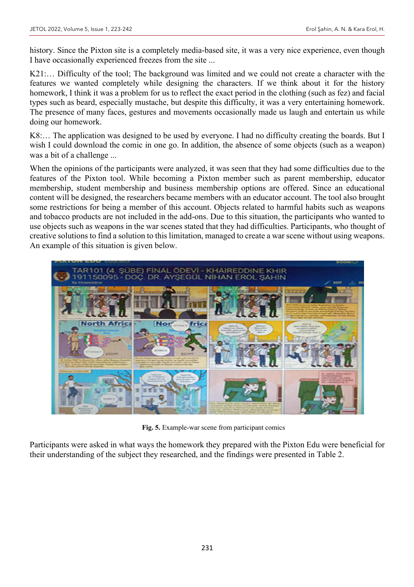history. Since the Pixton site is a completely media-based site, it was a very nice experience, even though I have occasionally experienced freezes from the site ...

K21:… Difficulty of the tool; The background was limited and we could not create a character with the features we wanted completely while designing the characters. If we think about it for the history homework, I think it was a problem for us to reflect the exact period in the clothing (such as fez) and facial types such as beard, especially mustache, but despite this difficulty, it was a very entertaining homework. The presence of many faces, gestures and movements occasionally made us laugh and entertain us while doing our homework.

K8:… The application was designed to be used by everyone. I had no difficulty creating the boards. But I wish I could download the comic in one go. In addition, the absence of some objects (such as a weapon) was a bit of a challenge ...

When the opinions of the participants were analyzed, it was seen that they had some difficulties due to the features of the Pixton tool. While becoming a Pixton member such as parent membership, educator membership, student membership and business membership options are offered. Since an educational content will be designed, the researchers became members with an educator account. The tool also brought some restrictions for being a member of this account. Objects related to harmful habits such as weapons and tobacco products are not included in the add-ons. Due to this situation, the participants who wanted to use objects such as weapons in the war scenes stated that they had difficulties. Participants, who thought of creative solutions to find a solution to this limitation, managed to create a war scene without using weapons. An example of this situation is given below.



**Fig. 5.** Example-war scene from participant comics

Participants were asked in what ways the homework they prepared with the Pixton Edu were beneficial for their understanding of the subject they researched, and the findings were presented in Table 2.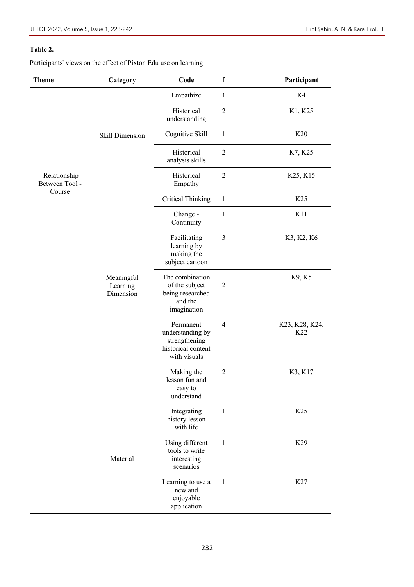#### **Table 2.**

Participants' views on the effect of Pixton Edu use on learning

| <b>Theme</b>                   | Category                            | Code                                                                                 | $\mathbf f$    | Participant                       |
|--------------------------------|-------------------------------------|--------------------------------------------------------------------------------------|----------------|-----------------------------------|
|                                |                                     | Empathize                                                                            | $\mathbf{1}$   | K4                                |
|                                |                                     | Historical<br>understanding                                                          | $\overline{2}$ | K1, K25                           |
|                                | Skill Dimension                     | Cognitive Skill                                                                      | $\mathbf{1}$   | K20                               |
|                                |                                     | Historical<br>analysis skills                                                        | $\overline{2}$ | K7, K25                           |
| Relationship<br>Between Tool - |                                     | Historical<br>Empathy                                                                | $\overline{2}$ | K <sub>25</sub> , K <sub>15</sub> |
| Course                         |                                     | <b>Critical Thinking</b>                                                             | $\mathbf{1}$   | K <sub>25</sub>                   |
|                                |                                     | Change -<br>Continuity                                                               | 1              | K11                               |
|                                |                                     | Facilitating<br>learning by<br>making the<br>subject cartoon                         | $\mathfrak{Z}$ | K3, K2, K6                        |
|                                | Meaningful<br>Learning<br>Dimension | The combination<br>of the subject<br>being researched<br>and the<br>imagination      | $\overline{2}$ | K9, K5                            |
|                                |                                     | Permanent<br>understanding by<br>strengthening<br>historical content<br>with visuals | $\overline{4}$ | K23, K28, K24,<br>K <sub>22</sub> |
|                                |                                     | Making the<br>lesson fun and<br>easy to<br>understand                                | $\overline{2}$ | K3, K17                           |
|                                |                                     | Integrating<br>history lesson<br>with life                                           | $\mathbf{1}$   | K25                               |
|                                | Material                            | Using different<br>tools to write<br>interesting<br>scenarios                        | $\mathbf{1}$   | K29                               |
|                                |                                     | Learning to use a<br>new and<br>enjoyable<br>application                             | $\mathbf{1}$   | K27                               |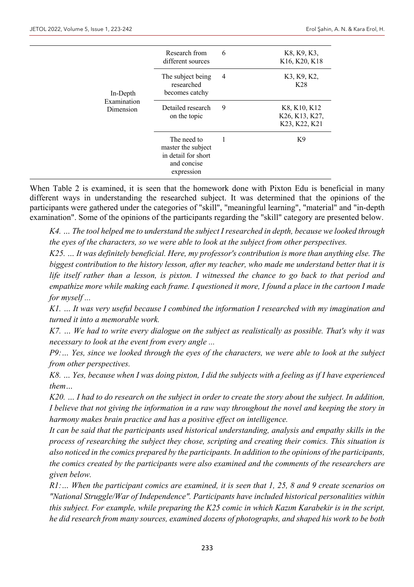|                          | Research from<br>different sources                                                    | 6 | K8, K9, K3,<br>K16, K20, K18                    |
|--------------------------|---------------------------------------------------------------------------------------|---|-------------------------------------------------|
| In-Depth                 | The subject being<br>researched<br>becomes catchy                                     | 4 | K3, K9, K2,<br>K28                              |
| Examination<br>Dimension | Detailed research<br>on the topic                                                     | 9 | K8, K10, K12<br>K26, K13, K27,<br>K23, K22, K21 |
|                          | The need to<br>master the subject<br>in detail for short<br>and concise<br>expression | 1 | K <sub>9</sub>                                  |

When Table 2 is examined, it is seen that the homework done with Pixton Edu is beneficial in many different ways in understanding the researched subject. It was determined that the opinions of the participants were gathered under the categories of "skill", "meaningful learning", "material" and "in-depth examination". Some of the opinions of the participants regarding the "skill" category are presented below.

*K4. … The tool helped me to understand the subject I researched in depth, because we looked through the eyes of the characters, so we were able to look at the subject from other perspectives.*

*K25. … It was definitely beneficial. Here, my professor's contribution is more than anything else. The biggest contribution to the history lesson, after my teacher, who made me understand better that it is life itself rather than a lesson, is pixton. I witnessed the chance to go back to that period and empathize more while making each frame. I questioned it more, I found a place in the cartoon I made for myself ...*

*K1. … It was very useful because I combined the information I researched with my imagination and turned it into a memorable work.*

*K7. … We had to write every dialogue on the subject as realistically as possible. That's why it was necessary to look at the event from every angle ...*

*P9:… Yes, since we looked through the eyes of the characters, we were able to look at the subject from other perspectives.*

*K8. … Yes, because when I was doing pixton, I did the subjects with a feeling as if I have experienced them…*

*K20. … I had to do research on the subject in order to create the story about the subject. In addition, I believe that not giving the information in a raw way throughout the novel and keeping the story in harmony makes brain practice and has a positive effect on intelligence.*

*It can be said that the participants used historical understanding, analysis and empathy skills in the process of researching the subject they chose, scripting and creating their comics. This situation is also noticed in the comics prepared by the participants. In addition to the opinions of the participants, the comics created by the participants were also examined and the comments of the researchers are given below.*

*R1:… When the participant comics are examined, it is seen that 1, 25, 8 and 9 create scenarios on "National Struggle/War of Independence". Participants have included historical personalities within this subject. For example, while preparing the K25 comic in which Kazım Karabekir is in the script, he did research from many sources, examined dozens of photographs, and shaped his work to be both*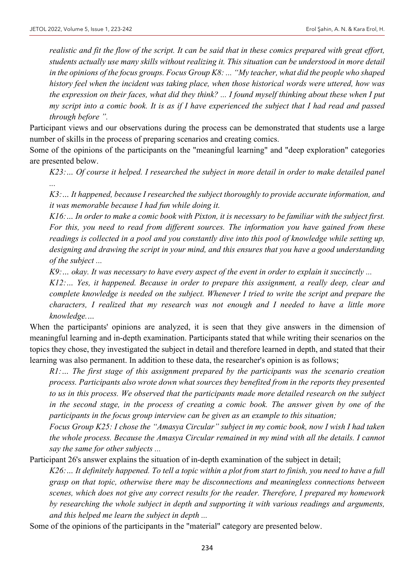*realistic and fit the flow of the script. It can be said that in these comics prepared with great effort, students actually use many skills without realizing it. This situation can be understood in more detail in the opinions of the focus groups. Focus Group K8: ... "My teacher, what did the people who shaped history feel when the incident was taking place, when those historical words were uttered, how was the expression on their faces, what did they think? ... I found myself thinking about these when I put my script into a comic book. It is as if I have experienced the subject that I had read and passed through before ".* 

Participant views and our observations during the process can be demonstrated that students use a large number of skills in the process of preparing scenarios and creating comics.

Some of the opinions of the participants on the "meaningful learning" and "deep exploration" categories are presented below.

*K23:… Of course it helped. I researched the subject in more detail in order to make detailed panel ...*

*K3:… It happened, because I researched the subject thoroughly to provide accurate information, and it was memorable because I had fun while doing it.*

*K16:… In order to make a comic book with Pixton, it is necessary to be familiar with the subject first. For this, you need to read from different sources. The information you have gained from these readings is collected in a pool and you constantly dive into this pool of knowledge while setting up, designing and drawing the script in your mind, and this ensures that you have a good understanding of the subject ...*

*K9:… okay. It was necessary to have every aspect of the event in order to explain it succinctly ...*

*K12:… Yes, it happened. Because in order to prepare this assignment, a really deep, clear and complete knowledge is needed on the subject. Whenever I tried to write the script and prepare the characters, I realized that my research was not enough and I needed to have a little more knowledge.…*

When the participants' opinions are analyzed, it is seen that they give answers in the dimension of meaningful learning and in-depth examination. Participants stated that while writing their scenarios on the topics they chose, they investigated the subject in detail and therefore learned in depth, and stated that their learning was also permanent. In addition to these data, the researcher's opinion is as follows;

*R1:… The first stage of this assignment prepared by the participants was the scenario creation process. Participants also wrote down what sources they benefited from in the reports they presented to us in this process. We observed that the participants made more detailed research on the subject in the second stage, in the process of creating a comic book. The answer given by one of the participants in the focus group interview can be given as an example to this situation;*

*Focus Group K25: I chose the "Amasya Circular" subject in my comic book, now I wish I had taken the whole process. Because the Amasya Circular remained in my mind with all the details. I cannot say the same for other subjects ...*

Participant 26's answer explains the situation of in-depth examination of the subject in detail;

*K26:… It definitely happened. To tell a topic within a plot from start to finish, you need to have a full grasp on that topic, otherwise there may be disconnections and meaningless connections between scenes, which does not give any correct results for the reader. Therefore, I prepared my homework by researching the whole subject in depth and supporting it with various readings and arguments, and this helped me learn the subject in depth ...*

Some of the opinions of the participants in the "material" category are presented below.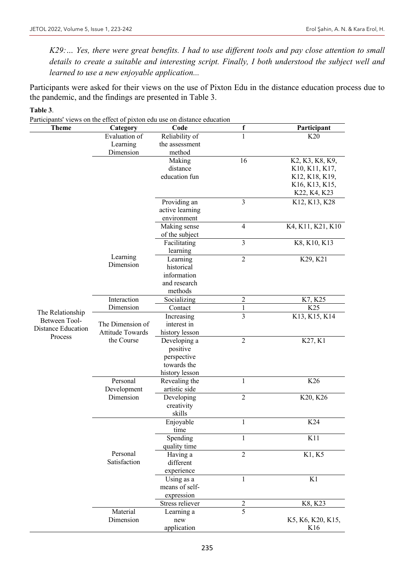*K29:… Yes, there were great benefits. I had to use different tools and pay close attention to small details to create a suitable and interesting script. Finally, I both understood the subject well and learned to use a new enjoyable application...*

Participants were asked for their views on the use of Pixton Edu in the distance education process due to the pandemic, and the findings are presented in Table 3.

#### **Table 3**.

Participants' views on the effect of pixton edu use on distance education

| <b>Theme</b>              | Category                             | Code                     | f                       | Participant       |
|---------------------------|--------------------------------------|--------------------------|-------------------------|-------------------|
|                           | Evaluation of                        | Reliability of           | $\mathbf{1}$            | K20               |
|                           | Learning                             | the assessment           |                         |                   |
|                           | Dimension                            | method                   |                         |                   |
|                           |                                      | Making                   | 16                      | K2, K3, K8, K9,   |
|                           |                                      | distance                 |                         | K10, K11, K17,    |
|                           |                                      | education fun            |                         | K12, K18, K19,    |
|                           |                                      |                          |                         | K16, K13, K15,    |
|                           |                                      |                          |                         | K22, K4, K23      |
|                           |                                      | Providing an             | 3                       | K12, K13, K28     |
|                           |                                      | active learning          |                         |                   |
|                           |                                      | environment              |                         |                   |
|                           |                                      | Making sense             | $\overline{4}$          | K4, K11, K21, K10 |
|                           |                                      | of the subject           |                         |                   |
|                           |                                      | Facilitating             | 3                       | K8, K10, K13      |
|                           |                                      | learning                 |                         |                   |
|                           | Learning<br>Dimension                | Learning                 | $\overline{2}$          | K29, K21          |
|                           |                                      | historical               |                         |                   |
|                           |                                      | information              |                         |                   |
|                           |                                      | and research             |                         |                   |
|                           |                                      | methods                  |                         |                   |
|                           | Interaction<br>Dimension             | Socializing              | $\sqrt{2}$              | K7, K25           |
| The Relationship          |                                      | Contact                  | $\,1$<br>$\overline{3}$ | K <sub>25</sub>   |
| Between Tool-             | The Dimension of                     | Increasing               |                         | K13, K15, K14     |
| <b>Distance Education</b> | <b>Attitude Towards</b>              | interest in              |                         |                   |
| Process                   | the Course                           | history lesson           | $\overline{2}$          | K27, K1           |
|                           |                                      | Developing a<br>positive |                         |                   |
|                           |                                      | perspective              |                         |                   |
|                           |                                      | towards the              |                         |                   |
|                           |                                      | history lesson           |                         |                   |
|                           | Personal<br>Development<br>Dimension | Revealing the            | $\mathbf{1}$            | K26               |
|                           |                                      | artistic side            |                         |                   |
|                           |                                      | Developing               | $\overline{2}$          | K20, K26          |
|                           |                                      | creativity               |                         |                   |
|                           |                                      | skills                   |                         |                   |
|                           | Personal<br>Satisfaction             | Enjoyable                | $\mathbf{1}$            | K24               |
|                           |                                      | time                     |                         |                   |
|                           |                                      | Spending                 | 1                       | K11               |
|                           |                                      | quality time             |                         |                   |
|                           |                                      | Having a                 | $\overline{2}$          | K1, K5            |
|                           |                                      | different                |                         |                   |
|                           |                                      | experience               |                         |                   |
|                           |                                      | Using as a               | $\mathbf{1}$            | K1                |
|                           |                                      | means of self-           |                         |                   |
|                           |                                      | expression               |                         |                   |
|                           |                                      | Stress reliever          | $\overline{c}$          | K8, K23           |
|                           | Material                             | Learning a               | $\overline{5}$          |                   |
|                           | Dimension                            | new                      |                         | K5, K6, K20, K15, |
|                           |                                      | application              |                         | K <sub>16</sub>   |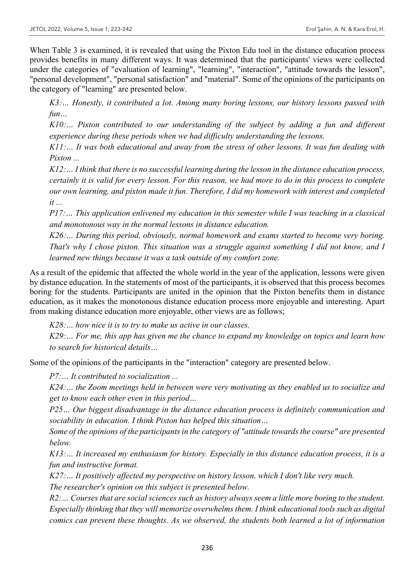When Table 3 is examined, it is revealed that using the Pixton Edu tool in the distance education process provides benefits in many different ways. It was determined that the participants' views were collected under the categories of "evaluation of learning", "learning", "interaction", "attitude towards the lesson", "personal development", "personal satisfaction" and "material". Some of the opinions of the participants on the category of "learning" are presented below.

*K3:… Honestly, it contributed a lot. Among many boring lessons, our history lessons passed with fun…*

*K10:… Pixton contributed to our understanding of the subject by adding a fun and different experience during these periods when we had difficulty understanding the lessons.*

*K11:… It was both educational and away from the stress of other lessons. It was fun dealing with Pixton ...*

*K12:… I think that there is no successful learning during the lesson in the distance education process, certainly it is valid for every lesson. For this reason, we had more to do in this process to complete our own learning, and pixton made it fun. Therefore, I did my homework with interest and completed it ...*

*P17:… This application enlivened my education in this semester while I was teaching in a classical and monotonous way in the normal lessons in distance education.*

*K26:… During this period, obviously, normal homework and exams started to become very boring. That's why I chose pixton. This situation was a struggle against something I did not know, and I learned new things because it was a task outside of my comfort zone.*

As a result of the epidemic that affected the whole world in the year of the application, lessons were given by distance education. In the statements of most of the participants, it is observed that this process becomes boring for the students. Participants are united in the opinion that the Pixton benefits them in distance education, as it makes the monotonous distance education process more enjoyable and interesting. Apart from making distance education more enjoyable, other views are as follows;

*K28:… how nice it is to try to make us active in our classes.*

*K29:… For me, this app has given me the chance to expand my knowledge on topics and learn how to search for historical details…*

Some of the opinions of the participants in the "interaction" category are presented below.

*P7:… It contributed to socialization ...*

*K24:… the Zoom meetings held in between were very motivating as they enabled us to socialize and get to know each other even in this period…*

*P25… Our biggest disadvantage in the distance education process is definitely communication and sociability in education. I think Pixton has helped this situation…*

*Some of the opinions of the participants in the category of "attitude towards the course" are presented below.*

*K13:… It increased my enthusiasm for history. Especially in this distance education process, it is a fun and instructive format.*

*K27:… It positively affected my perspective on history lesson, which I don't like very much.*

*The researcher's opinion on this subject is presented below.*

*R2:… Courses that are social sciences such as history always seem a little more boring to the student. Especially thinking that they will memorize overwhelms them. I think educational tools such as digital comics can prevent these thoughts. As we observed, the students both learned a lot of information*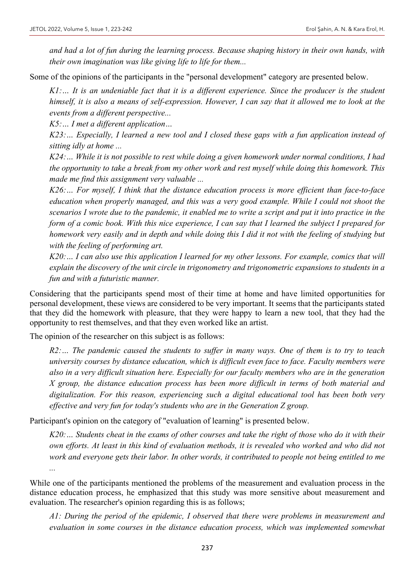*and had a lot of fun during the learning process. Because shaping history in their own hands, with their own imagination was like giving life to life for them...*

Some of the opinions of the participants in the "personal development" category are presented below.

*K1:… It is an undeniable fact that it is a different experience. Since the producer is the student himself, it is also a means of self-expression. However, I can say that it allowed me to look at the events from a different perspective...* 

*K5:… I met a different application…*

*K23:… Especially, I learned a new tool and I closed these gaps with a fun application instead of sitting idly at home ...*

*K24:… While it is not possible to rest while doing a given homework under normal conditions, I had the opportunity to take a break from my other work and rest myself while doing this homework. This made me find this assignment very valuable ...*

*K26:… For myself, I think that the distance education process is more efficient than face-to-face education when properly managed, and this was a very good example. While I could not shoot the scenarios I wrote due to the pandemic, it enabled me to write a script and put it into practice in the form of a comic book. With this nice experience, I can say that I learned the subject I prepared for homework very easily and in depth and while doing this I did it not with the feeling of studying but with the feeling of performing art.*

*K20:… I can also use this application I learned for my other lessons. For example, comics that will explain the discovery of the unit circle in trigonometry and trigonometric expansions to students in a fun and with a futuristic manner.*

Considering that the participants spend most of their time at home and have limited opportunities for personal development, these views are considered to be very important. It seems that the participants stated that they did the homework with pleasure, that they were happy to learn a new tool, that they had the opportunity to rest themselves, and that they even worked like an artist.

The opinion of the researcher on this subject is as follows:

*R2:… The pandemic caused the students to suffer in many ways. One of them is to try to teach university courses by distance education, which is difficult even face to face. Faculty members were also in a very difficult situation here. Especially for our faculty members who are in the generation X group, the distance education process has been more difficult in terms of both material and digitalization. For this reason, experiencing such a digital educational tool has been both very effective and very fun for today's students who are in the Generation Z group.*

Participant's opinion on the category of "evaluation of learning" is presented below.

*K20:… Students cheat in the exams of other courses and take the right of those who do it with their own efforts. At least in this kind of evaluation methods, it is revealed who worked and who did not work and everyone gets their labor. In other words, it contributed to people not being entitled to me ...*

While one of the participants mentioned the problems of the measurement and evaluation process in the distance education process, he emphasized that this study was more sensitive about measurement and evaluation. The researcher's opinion regarding this is as follows;

*A1: During the period of the epidemic, I observed that there were problems in measurement and evaluation in some courses in the distance education process, which was implemented somewhat*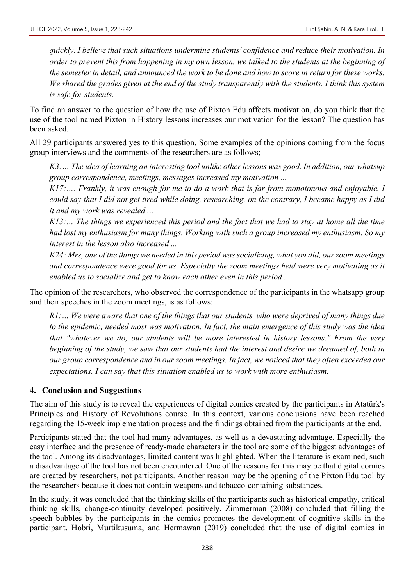*quickly. I believe that such situations undermine students' confidence and reduce their motivation. In order to prevent this from happening in my own lesson, we talked to the students at the beginning of the semester in detail, and announced the work to be done and how to score in return for these works. We shared the grades given at the end of the study transparently with the students. I think this system is safe for students.*

To find an answer to the question of how the use of Pixton Edu affects motivation, do you think that the use of the tool named Pixton in History lessons increases our motivation for the lesson? The question has been asked.

All 29 participants answered yes to this question. Some examples of the opinions coming from the focus group interviews and the comments of the researchers are as follows;

*K3:… The idea of learning an interesting tool unlike other lessons was good. In addition, our whatsup group correspondence, meetings, messages increased my motivation ...*

*K17:…. Frankly, it was enough for me to do a work that is far from monotonous and enjoyable. I could say that I did not get tired while doing, researching, on the contrary, I became happy as I did it and my work was revealed ...*

*K13:… The things we experienced this period and the fact that we had to stay at home all the time had lost my enthusiasm for many things. Working with such a group increased my enthusiasm. So my interest in the lesson also increased ...*

*K24: Mrs, one of the things we needed in this period was socializing, what you did, our zoom meetings and correspondence were good for us. Especially the zoom meetings held were very motivating as it enabled us to socialize and get to know each other even in this period ...*

The opinion of the researchers, who observed the correspondence of the participants in the whatsapp group and their speeches in the zoom meetings, is as follows:

*R1:… We were aware that one of the things that our students, who were deprived of many things due to the epidemic, needed most was motivation. In fact, the main emergence of this study was the idea that "whatever we do, our students will be more interested in history lessons." From the very beginning of the study, we saw that our students had the interest and desire we dreamed of, both in our group correspondence and in our zoom meetings. In fact, we noticed that they often exceeded our expectations. I can say that this situation enabled us to work with more enthusiasm.*

# **4. Conclusion and Suggestions**

The aim of this study is to reveal the experiences of digital comics created by the participants in Atatürk's Principles and History of Revolutions course. In this context, various conclusions have been reached regarding the 15-week implementation process and the findings obtained from the participants at the end.

Participants stated that the tool had many advantages, as well as a devastating advantage. Especially the easy interface and the presence of ready-made characters in the tool are some of the biggest advantages of the tool. Among its disadvantages, limited content was highlighted. When the literature is examined, such a disadvantage of the tool has not been encountered. One of the reasons for this may be that digital comics are created by researchers, not participants. Another reason may be the opening of the Pixton Edu tool by the researchers because it does not contain weapons and tobacco-containing substances.

In the study, it was concluded that the thinking skills of the participants such as historical empathy, critical thinking skills, change-continuity developed positively. Zimmerman (2008) concluded that filling the speech bubbles by the participants in the comics promotes the development of cognitive skills in the participant. Hobri, Murtikusuma, and Hermawan (2019) concluded that the use of digital comics in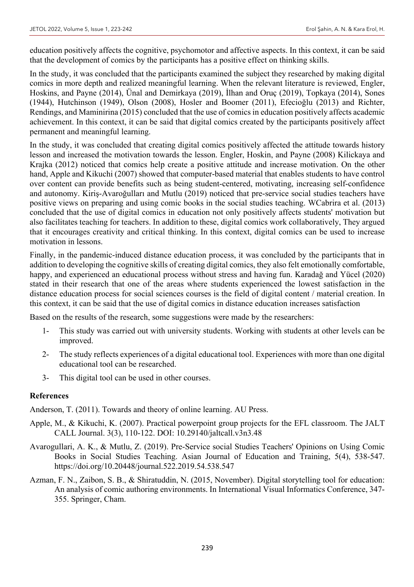education positively affects the cognitive, psychomotor and affective aspects. In this context, it can be said that the development of comics by the participants has a positive effect on thinking skills.

In the study, it was concluded that the participants examined the subject they researched by making digital comics in more depth and realized meaningful learning. When the relevant literature is reviewed, Engler, Hoskins, and Payne (2014), Ünal and Demirkaya (2019), İlhan and Oruç (2019), Topkaya (2014), Sones (1944), Hutchinson (1949), Olson (2008), Hosler and Boomer (2011), Efecioğlu (2013) and Richter, Rendings, and Maminirina (2015) concluded that the use of comics in education positively affects academic achievement. In this context, it can be said that digital comics created by the participants positively affect permanent and meaningful learning.

In the study, it was concluded that creating digital comics positively affected the attitude towards history lesson and increased the motivation towards the lesson. Engler, Hoskin, and Payne (2008) Kilickaya and Krajka (2012) noticed that comics help create a positive attitude and increase motivation. On the other hand, Apple and Kikuchi (2007) showed that computer-based material that enables students to have control over content can provide benefits such as being student-centered, motivating, increasing self-confidence and autonomy. Kiriş-Avaroğulları and Mutlu (2019) noticed that pre-service social studies teachers have positive views on preparing and using comic books in the social studies teaching. WCabrira et al. (2013) concluded that the use of digital comics in education not only positively affects students' motivation but also facilitates teaching for teachers. In addition to these, digital comics work collaboratively, They argued that it encourages creativity and critical thinking. In this context, digital comics can be used to increase motivation in lessons.

Finally, in the pandemic-induced distance education process, it was concluded by the participants that in addition to developing the cognitive skills of creating digital comics, they also felt emotionally comfortable, happy, and experienced an educational process without stress and having fun. Karadağ and Yücel (2020) stated in their research that one of the areas where students experienced the lowest satisfaction in the distance education process for social sciences courses is the field of digital content / material creation. In this context, it can be said that the use of digital comics in distance education increases satisfaction

Based on the results of the research, some suggestions were made by the researchers:

- 1- This study was carried out with university students. Working with students at other levels can be improved.
- 2- The study reflects experiences of a digital educational tool. Experiences with more than one digital educational tool can be researched.
- 3- This digital tool can be used in other courses.

#### **References**

Anderson, T. (2011). Towards and theory of online learning. AU Press.

- Apple, M., & Kikuchi, K. (2007). Practical powerpoint group projects for the EFL classroom. The JALT CALL Journal. 3(3), 110-122. DOI: 10.29140/jaltcall.v3n3.48
- Avarogullari, A. K., & Mutlu, Z. (2019). Pre-Service social Studies Teachers' Opinions on Using Comic Books in Social Studies Teaching. Asian Journal of Education and Training, 5(4), 538-547. https://doi.org/10.20448/journal.522.2019.54.538.547
- Azman, F. N., Zaibon, S. B., & Shiratuddin, N. (2015, November). Digital storytelling tool for education: An analysis of comic authoring environments. In International Visual Informatics Conference, 347- 355. Springer, Cham.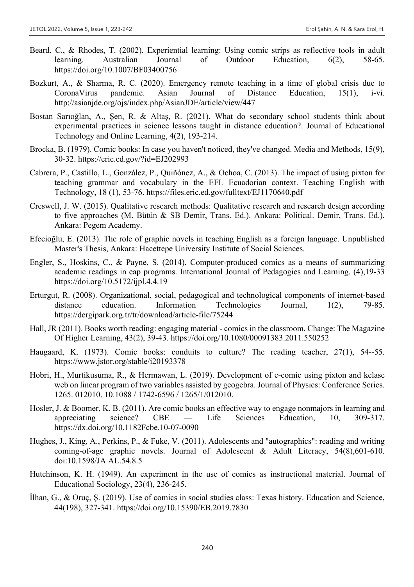- Beard, C., & Rhodes, T. (2002). Experiential learning: Using comic strips as reflective tools in adult learning. Australian Journal of Outdoor Education, 6(2), 58-65. https://doi.org/10.1007/BF03400756
- Bozkurt, A., & Sharma, R. C. (2020). Emergency remote teaching in a time of global crisis due to CoronaVirus pandemic. Asian Journal of Distance Education, 15(1), i-vi. http://asianjde.org/ojs/index.php/AsianJDE/article/view/447
- Bostan Sarıoğlan, A., Şen, R. & Altaş, R. (2021). What do secondary school students think about experimental practices in science lessons taught in distance education?. Journal of Educational Technology and Online Learning, 4(2), 193-214.
- Brocka, B. (1979). Comic books: In case you haven't noticed, they've changed. Media and Methods, 15(9), 30-32. https://eric.ed.gov/?id=EJ202993
- Cabrera, P., Castillo, L., González, P., Quiñónez, A., & Ochoa, C. (2013). The impact of using pixton for teaching grammar and vocabulary in the EFL Ecuadorian context. Teaching English with Technology, 18 (1), 53-76. https://files.eric.ed.gov/fulltext/EJ1170640.pdf
- Creswell, J. W. (2015). Qualitative research methods: Qualitative research and research design according to five approaches (M. Bütün & SB Demir, Trans. Ed.). Ankara: Political. Demir, Trans. Ed.). Ankara: Pegem Academy.
- Efecioğlu, E. (2013). The role of graphic novels in teaching English as a foreign language. Unpublished Master's Thesis, Ankara: Hacettepe University Institute of Social Sciences.
- Engler, S., Hoskins, C., & Payne, S. (2014). Computer-produced comics as a means of summarizing academic readings in eap programs. International Journal of Pedagogies and Learning. (4),19-33 https://doi.org/10.5172/ijpl.4.4.19
- Erturgut, R. (2008). Organizational, social, pedagogical and technological components of internet-based distance education. Information Technologies Journal, 1(2), 79-85. https://dergipark.org.tr/tr/download/article-file/75244
- Hall, JR (2011). Books worth reading: engaging material comics in the classroom. Change: The Magazine Of Higher Learning, 43(2), 39-43. https://doi.org/10.1080/00091383.2011.550252
- Haugaard, K. (1973). Comic books: conduits to culture? The reading teacher, 27(1), 54--55. https://www.jstor.org/stable/i20193378
- Hobri, H., Murtikusuma, R., & Hermawan, L. (2019). Development of e-comic using pixton and kelase web on linear program of two variables assisted by geogebra. Journal of Physics: Conference Series. 1265. 012010. 10.1088 / 1742-6596 / 1265/1/012010.
- Hosler, J. & Boomer, K. B. (2011). Are comic books an effective way to engage nonmajors in learning and appreciating science? CBE — Life Sciences Education, 10, 309-317. https://dx.doi.org/10.1182Fcbe.10-07-0090
- Hughes, J., King, A., Perkins, P., & Fuke, V. (2011). Adolescents and "autographics": reading and writing coming-of-age graphic novels. Journal of Adolescent & Adult Literacy, 54(8),601-610. doi:10.1598/JA AL.54.8.5
- Hutchinson, K. H. (1949). An experiment in the use of comics as instructional material. Journal of Educational Sociology, 23(4), 236-245.
- İlhan, G., & Oruç, Ş. (2019). Use of comics in social studies class: Texas history. Education and Science, 44(198), 327-341. https://doi.org/10.15390/EB.2019.7830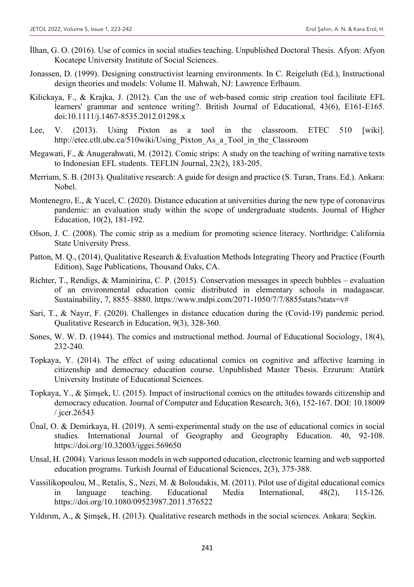- İlhan, G. O. (2016). Use of comics in social studies teaching. Unpublished Doctoral Thesis. Afyon: Afyon Kocatepe University Institute of Social Sciences.
- Jonassen, D. (1999). Designing constructivist learning environments. In C. Reigeluth (Ed.), Instructional design theories and models: Volume II. Mahwah, NJ: Lawrence Erlbaum.
- Kilickaya, F., & Krajka, J. (2012). Can the use of web-based comic strip creation tool facilitate EFL learners' grammar and sentence writing?. British Journal of Educational, 43(6), E161-E165. doi:10.1111/j.1467-8535.2012.01298.x
- Lee, V. (2013). Using Pixton as a tool in the classroom. ETEC 510 [wiki]. http://etec.ctlt.ubc.ca/510wiki/Using\_Pixton\_As\_a\_Tool\_in\_the\_Classroom
- Megawati, F., & Anugerahwati, M. (2012). Comic strips: A study on the teaching of writing narrative texts to Indonesian EFL students. TEFLIN Journal, 23(2), 183-205.
- Merriam, S. B. (2013). Qualitative research: A guide for design and practice (S. Turan, Trans. Ed.). Ankara: Nobel.
- Montenegro, E., & Yucel, C. (2020). Distance education at universities during the new type of coronavirus pandemic: an evaluation study within the scope of undergraduate students. Journal of Higher Education, 10(2), 181-192.
- Olson, J. C. (2008). The comic strip as a medium for promoting science literacy. Northridge: California State University Press.
- Patton, M. Q., (2014), Qualitative Research & Evaluation Methods Integrating Theory and Practice (Fourth Edition), Sage Publications, Thousand Oaks, CA.
- Richter, T., Rendigs, & Maminirina, C. P. (2015). Conservation messages in speech bubbles evaluation of an environmental education comic distributed in elementary schools in madagascar. Sustainability, 7, 8855–8880. https://www.mdpi.com/2071-1050/7/7/8855stats?stats=v#
- Sari, T., & Nayır, F. (2020). Challenges in distance education during the (Covid-19) pandemic period. Qualitative Research in Education, 9(3), 328-360.
- Sones, W. W. D. (1944). The comics and ınstructional method. Journal of Educational Sociology, 18(4), 232-240.
- Topkaya, Y. (2014). The effect of using educational comics on cognitive and affective learning in citizenship and democracy education course. Unpublished Master Thesis. Erzurum: Atatürk University Institute of Educational Sciences.
- Topkaya, Y., & Şimşek, U. (2015). Impact of instructional comics on the attitudes towards citizenship and democracy education. Journal of Computer and Education Research, 3(6), 152-167. DOI: 10.18009 / jcer.26543
- Ünal, O. & Demirkaya, H. (2019). A semi-experimental study on the use of educational comics in social studies. International Journal of Geography and Geography Education. 40, 92-108. https://doi.org/10.32003/iggei.569650
- Unsal, H. (2004). Various lesson models in web supported education, electronic learning and web supported education programs. Turkish Journal of Educational Sciences, 2(3), 375-388.
- Vassilikopoulou, M., Retalis, S., Nezi, M. & Boloudakis, M. (2011). Pilot use of digital educational comics in language teaching. Educational Media International, 48(2), 115-126. https://doi.org/10.1080/09523987.2011.576522
- Yıldırım, A., & Şimşek, H. (2013). Qualitative research methods in the social sciences. Ankara: Seçkin.